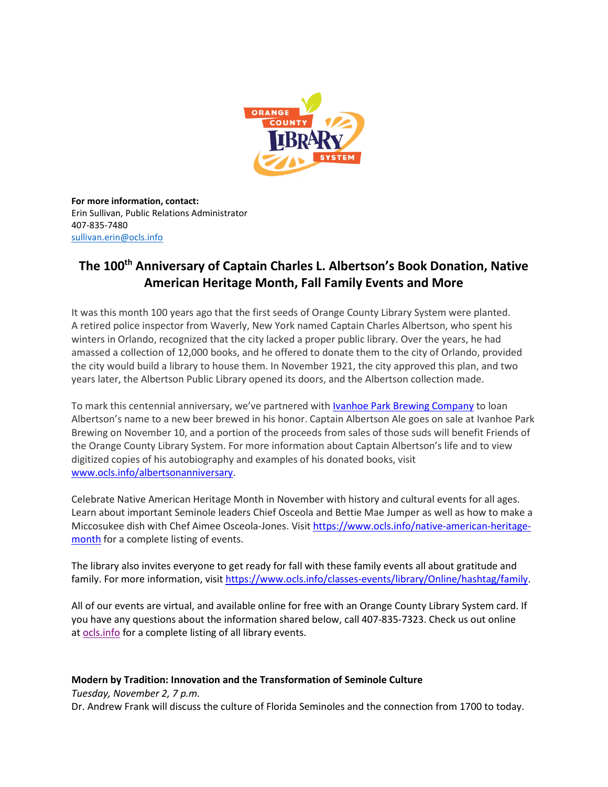

**For more information, contact:** Erin Sullivan, Public Relations Administrator 407-835-7480 [sullivan.erin@ocls.info](mailto:sullivan.erin@ocls.info)

# **The 100th Anniversary of Captain Charles L. Albertson's Book Donation, Native American Heritage Month, Fall Family Events and More**

It was this month 100 years ago that the first seeds of Orange County Library System were planted. A retired police inspector from Waverly, New York named Captain Charles Albertson, who spent his winters in Orlando, recognized that the city lacked a proper public library. Over the years, he had amassed a collection of 12,000 books, and he offered to donate them to the city of Orlando, provided the city would build a library to house them. In November 1921, the city approved this plan, and two years later, the Albertson Public Library opened its doors, and the Albertson collection made.

To mark this centennial anniversary, we've partnered with Ivanhoe Park Brewing [Company](https://ivanhoeparkbrewing.com/) to loan Albertson's name to a new beer brewed in his honor. Captain Albertson Ale goes on sale at Ivanhoe Park Brewing on November 10, and a portion of the proceeds from sales of those suds will benefit Friends of the Orange County Library System. For more information about Captain Albertson's life and to view digitized copies of his autobiography and examples of his donated books, visit [www.ocls.info/albertsonanniversary.](http://www.ocls.info/albertsonanniversary)

Celebrate Native American Heritage Month in November with history and cultural events for all ages. Learn about important Seminole leaders Chief Osceola and Bettie Mae Jumper as well as how to make a Miccosukee dish with Chef Aimee Osceola-Jones. Visit [https://www.ocls.info/native-american-heritage](https://www.ocls.info/native-american-heritage-month)[month](https://www.ocls.info/native-american-heritage-month) for a complete listing of events.

The library also invites everyone to get ready for fall with these family events all about gratitude and family. For more information, visit [https://www.ocls.info/classes-events/library/Online/hashtag/family.](https://www.ocls.info/classes-events/library/Online/hashtag/family)

All of our events are virtual, and available online for free with an Orange County Library System card. If you have any questions about the information shared below, call 407-835-7323. Check us out online at [ocls.info](http://www.ocls.info/) for a complete listing of all library events.

# **Modern by Tradition: Innovation and the Transformation of Seminole Culture**

*Tuesday, November 2, 7 p.m.*

Dr. Andrew Frank will discuss the culture of Florida Seminoles and the connection from 1700 to today.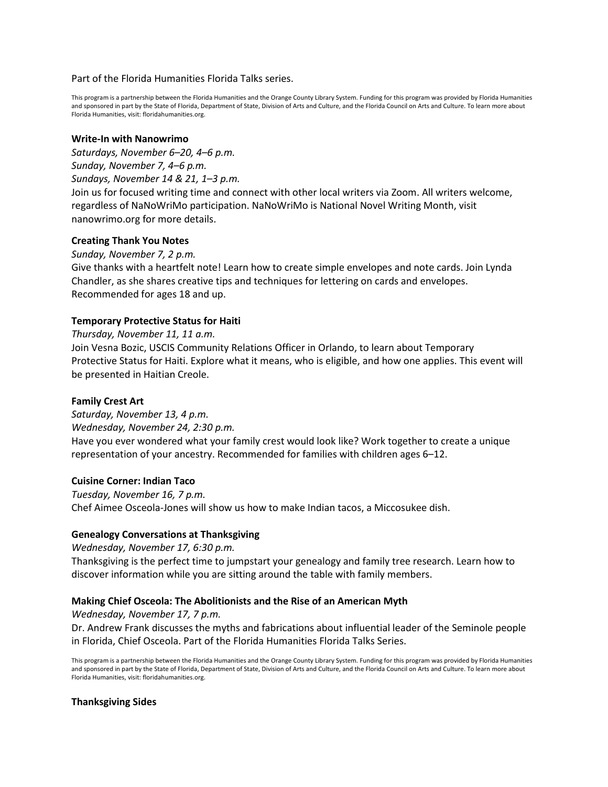#### Part of the Florida Humanities Florida Talks series.

This program is a partnership between the Florida Humanities and the Orange County Library System. Funding for this program was provided by Florida Humanities and sponsored in part by the State of Florida, Department of State, Division of Arts and Culture, and the Florida Council on Arts and Culture. To learn more about Florida Humanities, visit: floridahumanities.org.

#### **Write-In with Nanowrimo**

*Saturdays, November 6–20, 4–6 p.m. Sunday, November 7, 4–6 p.m. Sundays, November 14 & 21, 1–3 p.m.*

Join us for focused writing time and connect with other local writers via Zoom. All writers welcome, regardless of NaNoWriMo participation. NaNoWriMo is National Novel Writing Month, visit nanowrimo.org for more details.

# **Creating Thank You Notes**

*Sunday, November 7, 2 p.m.*

Give thanks with a heartfelt note! Learn how to create simple envelopes and note cards. Join Lynda Chandler, as she shares creative tips and techniques for lettering on cards and envelopes. Recommended for ages 18 and up.

# **Temporary Protective Status for Haiti**

*Thursday, November 11, 11 a.m.*

Join Vesna Bozic, USCIS Community Relations Officer in Orlando, to learn about Temporary Protective Status for Haiti. Explore what it means, who is eligible, and how one applies. This event will be presented in Haitian Creole.

# **Family Crest Art**

*Saturday, November 13, 4 p.m. Wednesday, November 24, 2:30 p.m.* Have you ever wondered what your family crest would look like? Work together to create a unique representation of your ancestry. Recommended for families with children ages 6–12.

#### **Cuisine Corner: Indian Taco**

*Tuesday, November 16, 7 p.m.* Chef Aimee Osceola-Jones will show us how to make Indian tacos, a Miccosukee dish.

# **Genealogy Conversations at Thanksgiving**

*Wednesday, November 17, 6:30 p.m.*

Thanksgiving is the perfect time to jumpstart your genealogy and family tree research. Learn how to discover information while you are sitting around the table with family members.

# **Making Chief Osceola: The Abolitionists and the Rise of an American Myth**

*Wednesday, November 17, 7 p.m.*

Dr. Andrew Frank discusses the myths and fabrications about influential leader of the Seminole people in Florida, Chief Osceola. Part of the Florida Humanities Florida Talks Series.

This program is a partnership between the Florida Humanities and the Orange County Library System. Funding for this program was provided by Florida Humanities and sponsored in part by the State of Florida, Department of State, Division of Arts and Culture, and the Florida Council on Arts and Culture. To learn more about Florida Humanities, visit: floridahumanities.org.

#### **Thanksgiving Sides**